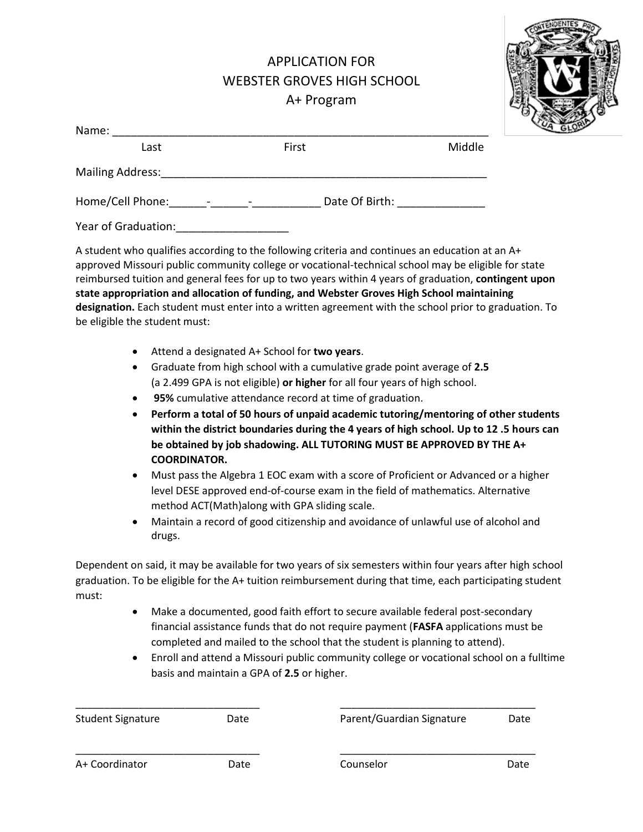## APPLICATION FOR WEBSTER GROVES HIGH SCHOOL A+ Program



| Name:                   |                         |       |                |        |
|-------------------------|-------------------------|-------|----------------|--------|
| Last                    |                         | First |                | Middle |
| <b>Mailing Address:</b> |                         |       |                |        |
| Home/Cell Phone:        | $\sim 100$ km s $^{-1}$ |       | Date Of Birth: |        |
| Year of Graduation:     |                         |       |                |        |

A student who qualifies according to the following criteria and continues an education at an A+ approved Missouri public community college or vocational-technical school may be eligible for state reimbursed tuition and general fees for up to two years within 4 years of graduation, **contingent upon state appropriation and allocation of funding, and Webster Groves High School maintaining designation.** Each student must enter into a written agreement with the school prior to graduation. To be eligible the student must:

- Attend a designated A+ School for **two years**.
- Graduate from high school with a cumulative grade point average of **2.5**  (a 2.499 GPA is not eligible) **or higher** for all four years of high school.
- **95%** cumulative attendance record at time of graduation.
- **Perform a total of 50 hours of unpaid academic tutoring/mentoring of other students within the district boundaries during the 4 years of high school. Up to 12 .5 hours can be obtained by job shadowing. ALL TUTORING MUST BE APPROVED BY THE A+ COORDINATOR.**
- Must pass the Algebra 1 EOC exam with a score of Proficient or Advanced or a higher level DESE approved end-of-course exam in the field of mathematics. Alternative method ACT(Math)along with GPA sliding scale.
- Maintain a record of good citizenship and avoidance of unlawful use of alcohol and drugs.

Dependent on said, it may be available for two years of six semesters within four years after high school graduation. To be eligible for the A+ tuition reimbursement during that time, each participating student must:

- Make a documented, good faith effort to secure available federal post-secondary financial assistance funds that do not require payment (**FASFA** applications must be completed and mailed to the school that the student is planning to attend).
- Enroll and attend a Missouri public community college or vocational school on a fulltime basis and maintain a GPA of **2.5** or higher.

| <b>Student Signature</b> | Date | Parent/Guardian Signature | Date |
|--------------------------|------|---------------------------|------|
| A+ Coordinator           | Date | Counselor                 | Date |